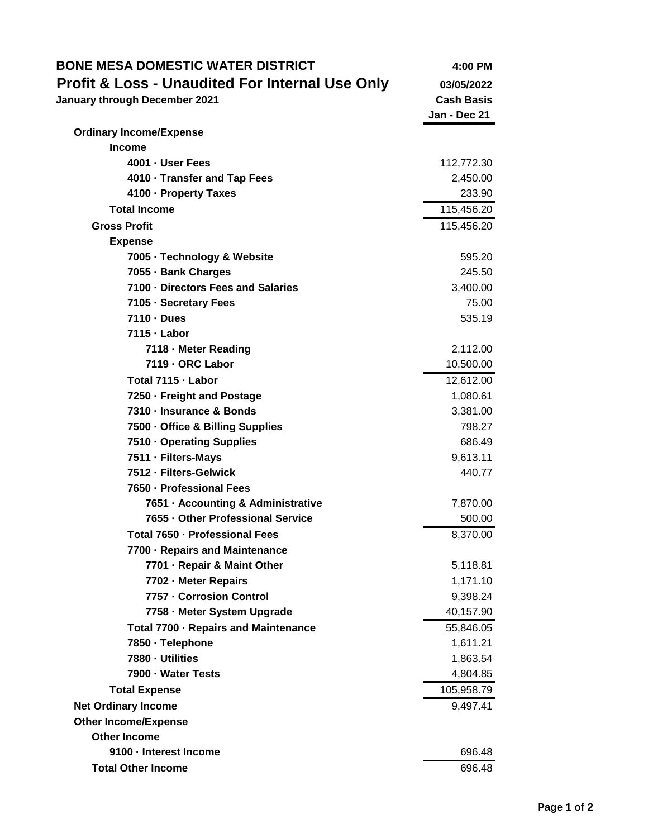| <b>BONE MESA DOMESTIC WATER DISTRICT</b>                   | 4:00 PM           |
|------------------------------------------------------------|-------------------|
| <b>Profit &amp; Loss - Unaudited For Internal Use Only</b> | 03/05/2022        |
| January through December 2021                              | <b>Cash Basis</b> |
|                                                            | Jan - Dec 21      |
| <b>Ordinary Income/Expense</b>                             |                   |
| <b>Income</b>                                              |                   |
| 4001 - User Fees                                           | 112,772.30        |
| 4010 · Transfer and Tap Fees                               | 2,450.00          |
| 4100 - Property Taxes                                      | 233.90            |
| <b>Total Income</b>                                        | 115,456.20        |
| <b>Gross Profit</b>                                        | 115,456.20        |
| <b>Expense</b>                                             |                   |
| 7005 · Technology & Website                                | 595.20            |
| 7055 - Bank Charges                                        | 245.50            |
| 7100 - Directors Fees and Salaries                         | 3,400.00          |
| 7105 · Secretary Fees                                      | 75.00             |
| 7110 - Dues                                                | 535.19            |
| 7115 - Labor                                               |                   |
| 7118 - Meter Reading                                       | 2,112.00          |
| 7119 - ORC Labor                                           | 10,500.00         |
| Total 7115 - Labor                                         | 12,612.00         |
| 7250 · Freight and Postage                                 | 1,080.61          |
| 7310 - Insurance & Bonds                                   | 3,381.00          |
| 7500 - Office & Billing Supplies                           | 798.27            |
| 7510 · Operating Supplies                                  | 686.49            |
| 7511 - Filters-Mays                                        | 9,613.11          |
| 7512 - Filters-Gelwick                                     | 440.77            |
| 7650 - Professional Fees                                   |                   |
| 7651 - Accounting & Administrative                         | 7,870.00          |
| 7655 - Other Professional Service                          | 500.00            |
| Total 7650 · Professional Fees                             | 8,370.00          |
| 7700 - Repairs and Maintenance                             |                   |
| 7701 - Repair & Maint Other                                | 5,118.81          |
| 7702 - Meter Repairs                                       | 1,171.10          |
| 7757 - Corrosion Control                                   | 9,398.24          |
| 7758 - Meter System Upgrade                                | 40,157.90         |
| Total 7700 · Repairs and Maintenance                       | 55,846.05         |
| 7850 · Telephone                                           | 1,611.21          |
| 7880 - Utilities                                           | 1,863.54          |
| 7900 - Water Tests                                         | 4,804.85          |
| <b>Total Expense</b>                                       | 105,958.79        |
| <b>Net Ordinary Income</b>                                 | 9,497.41          |
| <b>Other Income/Expense</b>                                |                   |
| <b>Other Income</b>                                        |                   |
| 9100 - Interest Income                                     | 696.48            |
| <b>Total Other Income</b>                                  | 696.48            |
|                                                            |                   |